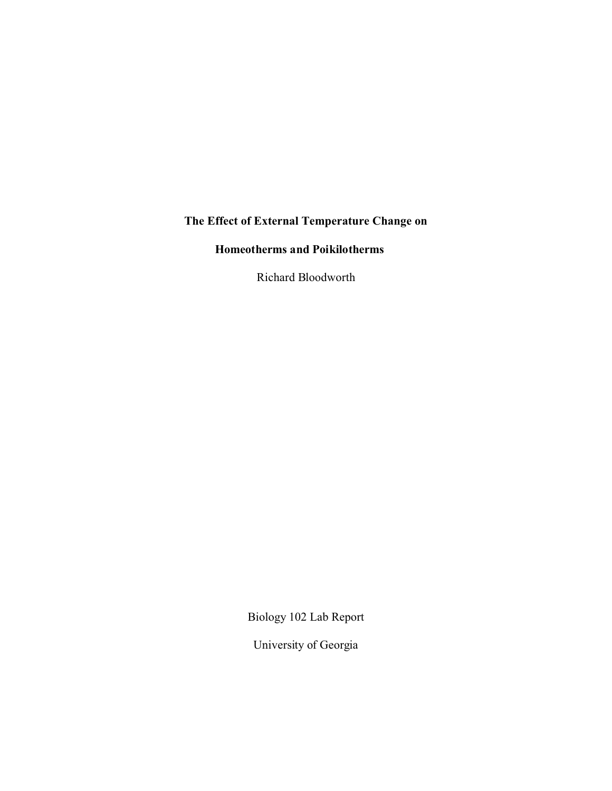## **The Effect of External Temperature Change on**

# **Homeotherms and Poikilotherms**

Richard Bloodworth

Biology 102 Lab Report

University of Georgia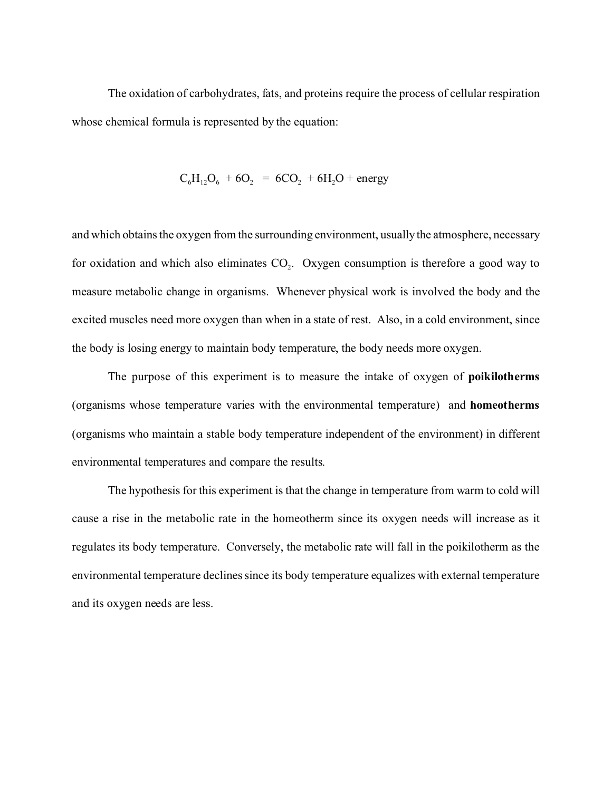The oxidation of carbohydrates, fats, and proteins require the process of cellular respiration whose chemical formula is represented by the equation:

$$
C_6H_{12}O_6 + 6O_2 = 6CO_2 + 6H_2O + energy
$$

and which obtains the oxygen from the surrounding environment, usually the atmosphere, necessary for oxidation and which also eliminates  $CO<sub>2</sub>$ . Oxygen consumption is therefore a good way to measure metabolic change in organisms. Whenever physical work is involved the body and the excited muscles need more oxygen than when in a state of rest. Also, in a cold environment, since the body is losing energy to maintain body temperature, the body needs more oxygen.

The purpose of this experiment is to measure the intake of oxygen of **poikilotherms** (organisms whose temperature varies with the environmental temperature) and **homeotherms** (organisms who maintain a stable body temperature independent of the environment) in different environmental temperatures and compare the results.

The hypothesis for this experiment is that the change in temperature from warm to cold will cause a rise in the metabolic rate in the homeotherm since its oxygen needs will increase as it regulates its body temperature. Conversely, the metabolic rate will fall in the poikilotherm as the environmental temperature declines since its body temperature equalizes with external temperature and its oxygen needs are less.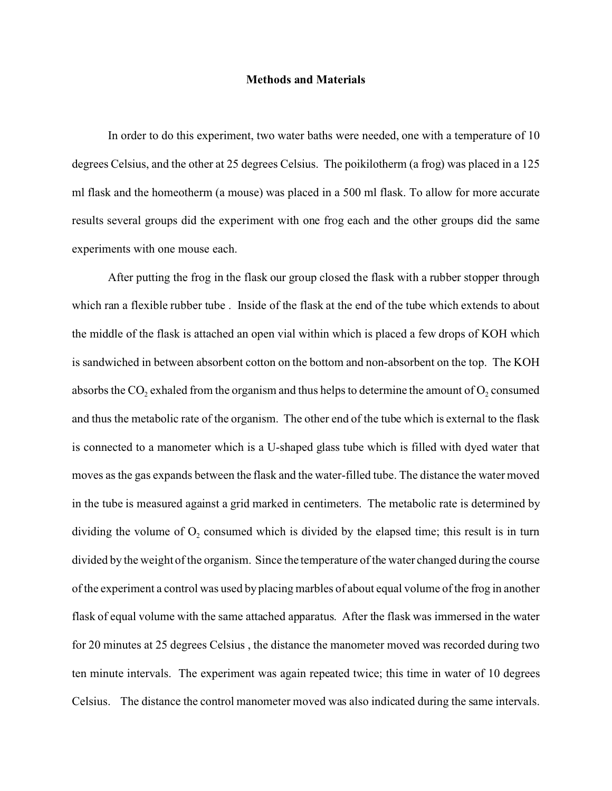#### **Methods and Materials**

In order to do this experiment, two water baths were needed, one with a temperature of 10 degrees Celsius, and the other at 25 degrees Celsius. The poikilotherm (a frog) was placed in a 125 ml flask and the homeotherm (a mouse) was placed in a 500 ml flask. To allow for more accurate results several groups did the experiment with one frog each and the other groups did the same experiments with one mouse each.

After putting the frog in the flask our group closed the flask with a rubber stopper through which ran a flexible rubber tube . Inside of the flask at the end of the tube which extends to about the middle of the flask is attached an open vial within which is placed a few drops of KOH which is sandwiched in between absorbent cotton on the bottom and non-absorbent on the top. The KOH absorbs the CO<sub>2</sub> exhaled from the organism and thus helps to determine the amount of O<sub>2</sub> consumed and thus the metabolic rate of the organism. The other end of the tube which is external to the flask is connected to a manometer which is a U-shaped glass tube which is filled with dyed water that moves as the gas expands between the flask and the water-filled tube. The distance the water moved in the tube is measured against a grid marked in centimeters. The metabolic rate is determined by dividing the volume of  $O_2$  consumed which is divided by the elapsed time; this result is in turn divided by the weight of the organism. Since the temperature of the water changed during the course of the experiment a control was used by placing marbles of about equal volume of the frog in another flask of equal volume with the same attached apparatus. After the flask was immersed in the water for 20 minutes at 25 degrees Celsius , the distance the manometer moved was recorded during two ten minute intervals. The experiment was again repeated twice; this time in water of 10 degrees Celsius. The distance the control manometer moved was also indicated during the same intervals.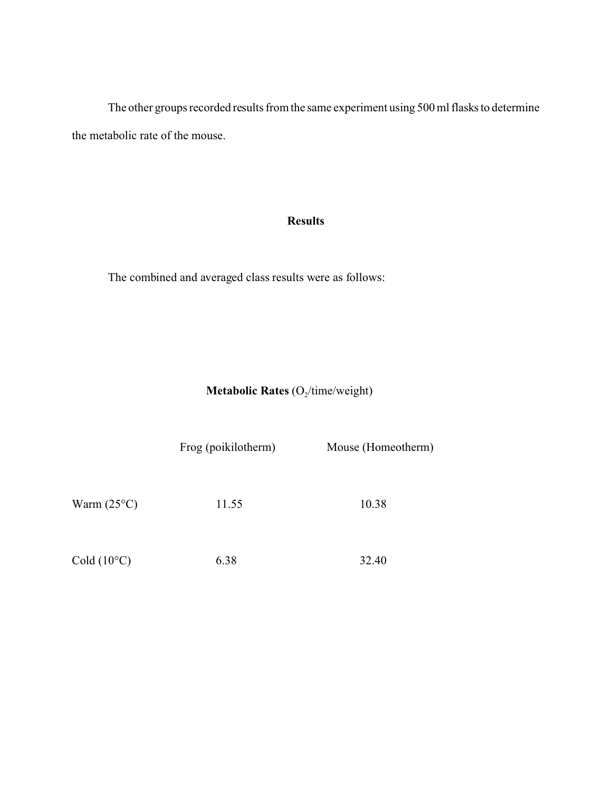The other groups recorded results from the same experiment using 500 ml flasks to determine the metabolic rate of the mouse.

### **Results**

The combined and averaged class results were as follows:

**Metabolic Rates** (O<sub>2</sub>/time/weight)

Frog (poikilotherm) Mouse (Homeotherm)

Warm (25°C) 11.55 10.38

Cold (10°C) 6.38 32.40